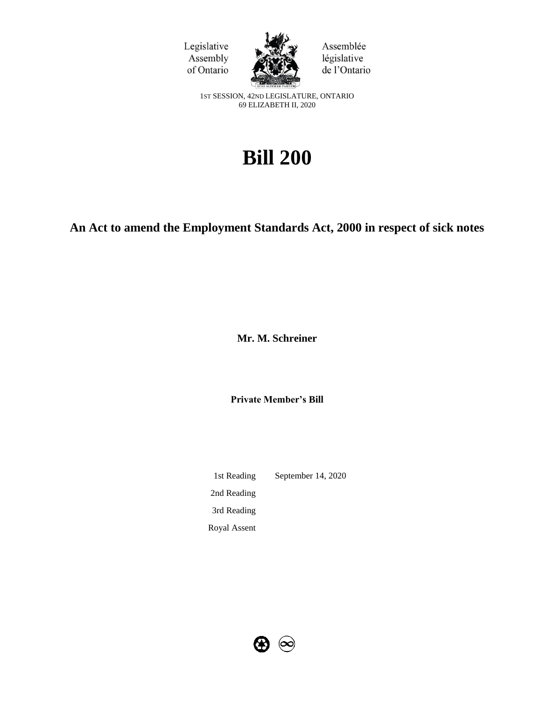



Assemblée législative de l'Ontario

1ST SESSION, 42ND LEGISLATURE, ONTARIO 69 ELIZABETH II, 2020

# **Bill 200**

# **An Act to amend the Employment Standards Act, 2000 in respect of sick notes**

**Mr. M. Schreiner** 

**Private Member's Bill**

1st Reading September 14, 2020 2nd Reading 3rd Reading Royal Assent